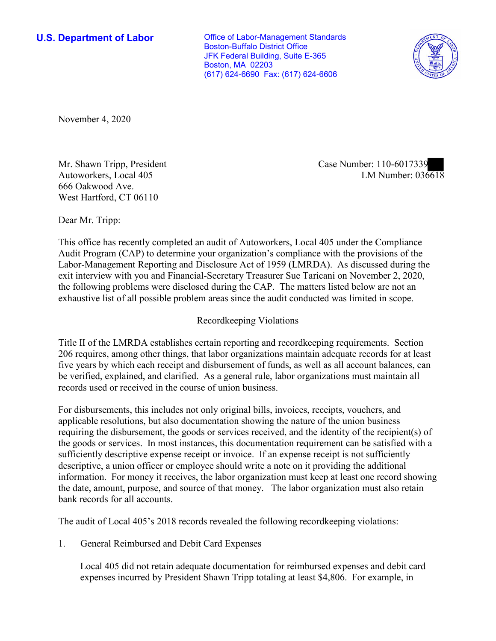**U.S. Department of Labor Conservative Conservative Conservative Conservative U.S.** Department of Labor Boston-Buffalo District Office JFK Federal Building, Suite E-365 Boston, MA 02203 (617) 624-6690 Fax: (617) 624-6606



November 4, 2020

Autoworkers, Local 405 666 Oakwood Ave. West Hartford, CT 06110

LM Number:  $036618$ Mr. Shawn Tripp, President Case Number: 110-6017339

Dear Mr. Tripp:

 This office has recently completed an audit of Autoworkers, Local 405 under the Compliance Audit Program (CAP) to determine your organization's compliance with the provisions of the Labor-Management Reporting and Disclosure Act of 1959 (LMRDA). As discussed during the exit interview with you and Financial-Secretary Treasurer Sue Taricani on November 2, 2020, the following problems were disclosed during the CAP. The matters listed below are not an exhaustive list of all possible problem areas since the audit conducted was limited in scope.

## Recordkeeping Violations

 Title II of the LMRDA establishes certain reporting and recordkeeping requirements. Section 206 requires, among other things, that labor organizations maintain adequate records for at least five years by which each receipt and disbursement of funds, as well as all account balances, can be verified, explained, and clarified. As a general rule, labor organizations must maintain all records used or received in the course of union business.

For disbursements, this includes not only original bills, invoices, receipts, vouchers, and applicable resolutions, but also documentation showing the nature of the union business requiring the disbursement, the goods or services received, and the identity of the recipient(s) of the goods or services. In most instances, this documentation requirement can be satisfied with a sufficiently descriptive expense receipt or invoice. If an expense receipt is not sufficiently descriptive, a union officer or employee should write a note on it providing the additional information. For money it receives, the labor organization must keep at least one record showing the date, amount, purpose, and source of that money. The labor organization must also retain bank records for all accounts.

The audit of Local 405's 2018 records revealed the following recordkeeping violations:

1. General Reimbursed and Debit Card Expenses

 Local 405 did not retain adequate documentation for reimbursed expenses and debit card expenses incurred by President Shawn Tripp totaling at least \$4,806. For example, in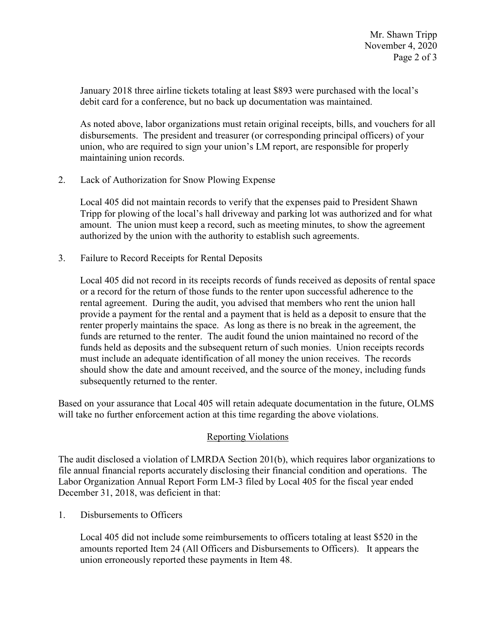January 2018 three airline tickets totaling at least \$893 were purchased with the local's debit card for a conference, but no back up documentation was maintained.

 disbursements. The president and treasurer (or corresponding principal officers) of your As noted above, labor organizations must retain original receipts, bills, and vouchers for all union, who are required to sign your union's LM report, are responsible for properly maintaining union records.

2. Lack of Authorization for Snow Plowing Expense

Local 405 did not maintain records to verify that the expenses paid to President Shawn Tripp for plowing of the local's hall driveway and parking lot was authorized and for what amount. The union must keep a record, such as meeting minutes, to show the agreement authorized by the union with the authority to establish such agreements.

3. Failure to Record Receipts for Rental Deposits

 Local 405 did not record in its receipts records of funds received as deposits of rental space rental agreement. During the audit, you advised that members who rent the union hall or a record for the return of those funds to the renter upon successful adherence to the provide a payment for the rental and a payment that is held as a deposit to ensure that the renter properly maintains the space. As long as there is no break in the agreement, the funds are returned to the renter. The audit found the union maintained no record of the funds held as deposits and the subsequent return of such monies. Union receipts records must include an adequate identification of all money the union receives. The records should show the date and amount received, and the source of the money, including funds subsequently returned to the renter.

 Based on your assurance that Local 405 will retain adequate documentation in the future, OLMS will take no further enforcement action at this time regarding the above violations.

## Reporting Violations

 Labor Organization Annual Report Form LM-3 filed by Local 405 for the fiscal year ended December 31, 2018, was deficient in that:<br>1. Disbursements to Officers The audit disclosed a violation of LMRDA Section 201(b), which requires labor organizations to file annual financial reports accurately disclosing their financial condition and operations. The

 amounts reported Item 24 (All Officers and Disbursements to Officers). It appears the Local 405 did not include some reimbursements to officers totaling at least \$520 in the union erroneously reported these payments in Item 48.